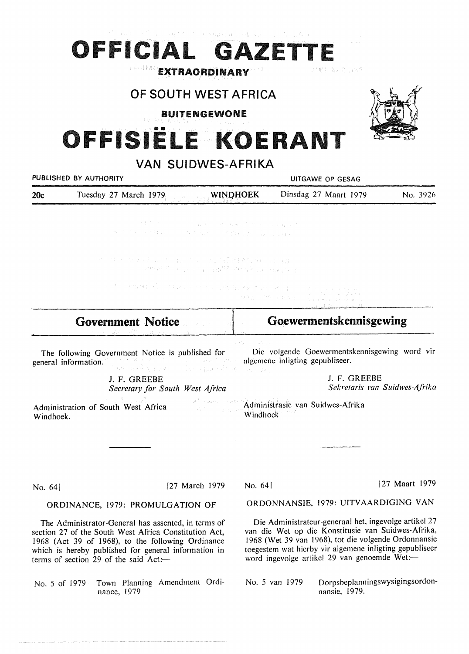# (四年) ( ) 推手, ( ) ( ) ( ) 电压压器 电自动机 Sec. ( ) ( ) ( ) 假果 OFFICIAL GAZETTE EXTRAORDINARY

## OF SOUTH WEST AFRICA

BUITENGEWONE

# FFISIËLE KOERANT



| PUBLISHED BY AUTHORITY           |                                                                                                                                                                                                                                                                                                             |                 | UITGAWE OP GESAG                                                                                                                                                                                                               |                               |  |
|----------------------------------|-------------------------------------------------------------------------------------------------------------------------------------------------------------------------------------------------------------------------------------------------------------------------------------------------------------|-----------------|--------------------------------------------------------------------------------------------------------------------------------------------------------------------------------------------------------------------------------|-------------------------------|--|
| 20c                              | Tuesday 27 March 1979<br>$A = 1.76$                                                                                                                                                                                                                                                                         | <b>WINDHOEK</b> | Dinsdag 27 Maart 1979                                                                                                                                                                                                          | No. 3926                      |  |
|                                  | and the first control of the party of the state of the first company of<br>en de la constanción de la constanción de la constanción de la constanción de la constanción de la constanción<br>La constanción de la constanción de la constanción de la constanción de la constanción de la constanción de la |                 |                                                                                                                                                                                                                                |                               |  |
|                                  | 的过去分词使对某事的 高温性质 医内障跟踪 经实际管理<br>what it is a strong ability disconnection of                                                                                                                                                                                                                                 |                 |                                                                                                                                                                                                                                |                               |  |
|                                  | mate a secondo de la seconda de la contrata de la contrata de la contrata de la contrata de la contrata de la                                                                                                                                                                                               |                 | deficient for sympathy                                                                                                                                                                                                         |                               |  |
|                                  | <b>Government Notice</b>                                                                                                                                                                                                                                                                                    |                 | Goewermentskennisgewing                                                                                                                                                                                                        |                               |  |
| Windhoek.                        | The following Government Notice is published for<br>しょうしょねん しんりょう<br>general information.<br>Jane participe and by<br>ਰਿਸ਼ਤਾ ਬਕਾਉਂ ਨ <sub>ਈਏ ਹ</sub> ਾਰ ਹਨ।<br>J. F. GREEBE<br>Secretary for South West Africa<br>Administration of South West Africa                                                       | Windhoek        | Die volgende Goewermentskennisgewing word vir<br>algemene inligting gepubliseer.<br>J. F. GREEBE<br>Administrasie van Suidwes-Afrika                                                                                           | Sekretaris van Suidwes-Afrika |  |
|                                  |                                                                                                                                                                                                                                                                                                             |                 |                                                                                                                                                                                                                                |                               |  |
| No. 64                           | [27 March 1979]                                                                                                                                                                                                                                                                                             | No. 64          |                                                                                                                                                                                                                                | [27 Maart 1979]               |  |
| ORDINANCE, 1979: PROMULGATION OF |                                                                                                                                                                                                                                                                                                             |                 | ORDONNANSIE, 1979: UITVAARDIGING VAN                                                                                                                                                                                           |                               |  |
|                                  | The Administrator-General has assented, in terms of<br>section 27 of the South West Africa Constitution Act,<br>1968 (Act 39 of 1968), to the following Ordinance<br>which is hereby published for general information in                                                                                   |                 | Die Administrateur-generaal het, ingevolge artikel 27<br>van die Wet op die Konstitusie van Suidwes-Afrika,<br>1968 (Wet 39 van 1968), tot die volgende Ordonnansie<br>toegestem wat hierby vir algemene inligting gepubliseer |                               |  |

No. 5 of 1979 Town Planning Amendment Ordinance, 1979

terms of section 29 of the said  $Act$ :

No. 5 van 1979 Dorpsbeplanningswysigingsordonnansie, 1979.

word ingevolge artikel 29 van genoemde Wet:-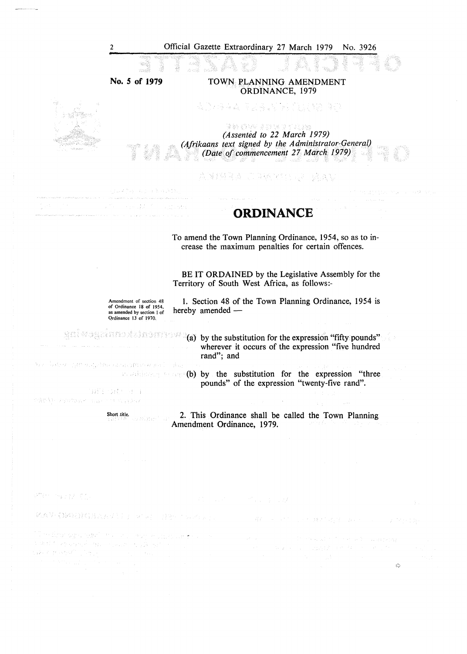#### **No. 5 of 1979**  TOWN PLANNING AMENDMENT ORDINANCE, 1979

AD A A PIAN CONTROL PO

優勝 の War はの Mic o やけばぬ *(Assented to 22 March 1979) (Afrikaans text signed by the Administrator~General) (Date ofcommencement 27 March 1979)* 

法逐渐营造 印度纳尔特 语言法

## **ORDINANCE**

Superbook of

To amend the Town Planning Ordinance, 1954, so as to increase the maximum penalties for certain offences.

BE IT **ORDAINED** by the Legislative Assembly for the Territory of South West Africa, as follows:-

of Ordinance 18 of 1954, as amended by section I of

nã

医后异染的 法定 医氧活质菌科

 $\gamma$  and  $\tilde{Q}^{\rm (1)}$  and  $\tilde{Q}^{\rm (2)}$  and  $\tilde{Q}^{\rm (2)}$ 

1. Section 48 of the Town Planning Ordinance, 1954 is hereby amended -

gnissen in the substitution for the expression "fifty pounds" wherever it occurs of the expression "five hundred rand"; and

> **Expression "three** (b) by the substitution for the expression "three pounds" of the expression "twenty-five rand".

> > $\sim$

2. This Ordinance shall be called the Town Planning Amendment Ordinance, 1979.

emer in<sub>kla</sub>ve so

络希望 (NAR2)和1月以表示的 3 - 中心的 - 月初十七回行 201

Short title.

9#3 李晨 日日

miktak o zaprotoveno vzdeno monovi vystava

na inter gli esgenaras altra aesi cha

m litar sgrìobhail chochail chuig muilleach an trois ch "我好了?会没有什么好,可以让你们想到我们 an an Saidhean

 $\label{eq:1} \begin{split} \mathbb{P}^{1,1}(\mathcal{E}^{1,2}(\mathbb{R}^d,\mathbb{R}^d))^{*}\cong \mathbb{P}^{1,1}(\mathcal{E}^{1,2}(\mathbb{R}^d,\mathbb{R}^d))^{*}\\ \mathbb{P}^{1,2}(\mathcal{E}^{1,1}(\mathbb{R}^d,\mathbb{R}^d))^{*}\cong \mathbb{P}^{1,2}(\mathbb{R}^d,\mathbb{R}^d)\cong \mathbb{P}^{1,2}(\mathbb{R}^d,\mathbb{R}^d)\cong \mathbb{P}^{1,2}(\mathbb{R}^$ 

್ಡ

(春和) テープス しょうか 縁の (恐惧の) みんどうぶつ

Amendment of section 48 Qrdinance 13 of 1970.